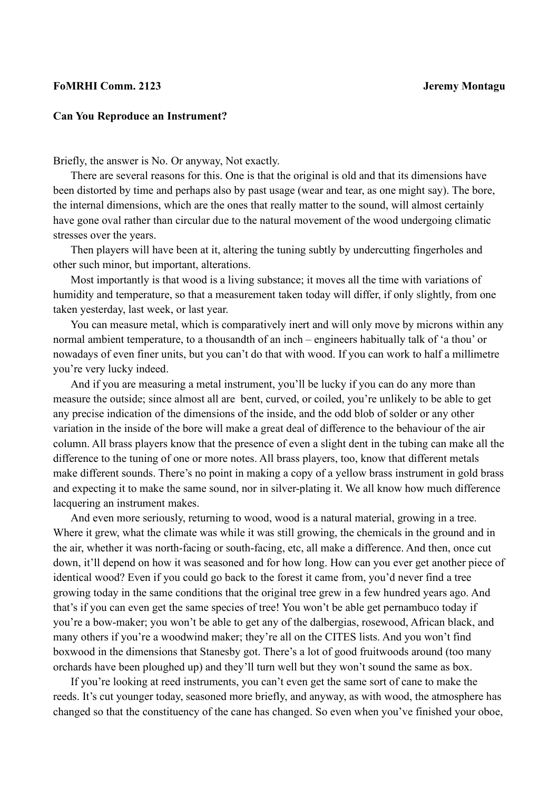## **FoMRHI Comm. 2123 Jeremy Montagu**

## **Can You Reproduce an Instrument?**

Briefly, the answer is No. Or anyway, Not exactly.

There are several reasons for this. One is that the original is old and that its dimensions have been distorted by time and perhaps also by past usage (wear and tear, as one might say). The bore, the internal dimensions, which are the ones that really matter to the sound, will almost certainly have gone oval rather than circular due to the natural movement of the wood undergoing climatic stresses over the years.

Then players will have been at it, altering the tuning subtly by undercutting fingerholes and other such minor, but important, alterations.

Most importantly is that wood is a living substance; it moves all the time with variations of humidity and temperature, so that a measurement taken today will differ, if only slightly, from one taken yesterday, last week, or last year.

You can measure metal, which is comparatively inert and will only move by microns within any normal ambient temperature, to a thousandth of an inch – engineers habitually talk of 'a thou' or nowadays of even finer units, but you can't do that with wood. If you can work to half a millimetre you're very lucky indeed.

And if you are measuring a metal instrument, you'll be lucky if you can do any more than measure the outside; since almost all are bent, curved, or coiled, you're unlikely to be able to get any precise indication of the dimensions of the inside, and the odd blob of solder or any other variation in the inside of the bore will make a great deal of difference to the behaviour of the air column. All brass players know that the presence of even a slight dent in the tubing can make all the difference to the tuning of one or more notes. All brass players, too, know that different metals make different sounds. There's no point in making a copy of a yellow brass instrument in gold brass and expecting it to make the same sound, nor in silver-plating it. We all know how much difference lacquering an instrument makes.

And even more seriously, returning to wood, wood is a natural material, growing in a tree. Where it grew, what the climate was while it was still growing, the chemicals in the ground and in the air, whether it was north-facing or south-facing, etc, all make a difference. And then, once cut down, it'll depend on how it was seasoned and for how long. How can you ever get another piece of identical wood? Even if you could go back to the forest it came from, you'd never find a tree growing today in the same conditions that the original tree grew in a few hundred years ago. And that's if you can even get the same species of tree! You won't be able get pernambuco today if you're a bow-maker; you won't be able to get any of the dalbergias, rosewood, African black, and many others if you're a woodwind maker; they're all on the CITES lists. And you won't find boxwood in the dimensions that Stanesby got. There's a lot of good fruitwoods around (too many orchards have been ploughed up) and they'll turn well but they won't sound the same as box.

If you're looking at reed instruments, you can't even get the same sort of cane to make the reeds. It's cut younger today, seasoned more briefly, and anyway, as with wood, the atmosphere has changed so that the constituency of the cane has changed. So even when you've finished your oboe,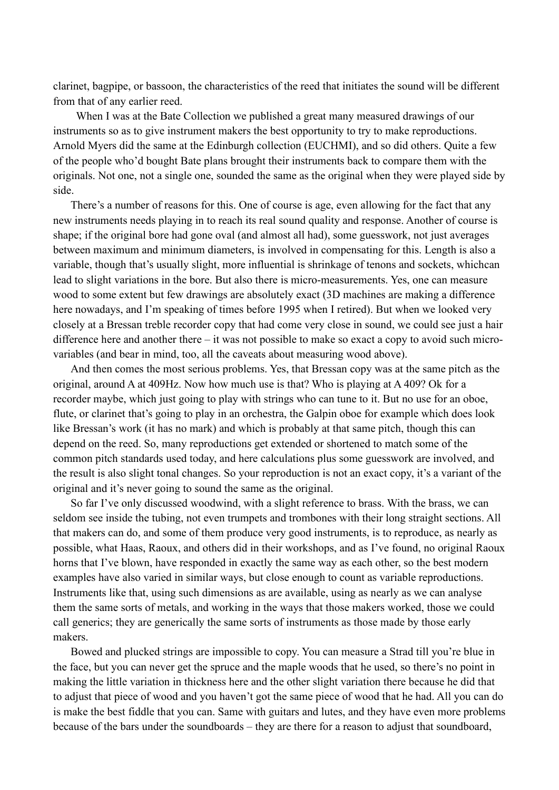clarinet, bagpipe, or bassoon, the characteristics of the reed that initiates the sound will be different from that of any earlier reed.

 When I was at the Bate Collection we published a great many measured drawings of our instruments so as to give instrument makers the best opportunity to try to make reproductions. Arnold Myers did the same at the Edinburgh collection (EUCHMI), and so did others. Quite a few of the people who'd bought Bate plans brought their instruments back to compare them with the originals. Not one, not a single one, sounded the same as the original when they were played side by side.

There's a number of reasons for this. One of course is age, even allowing for the fact that any new instruments needs playing in to reach its real sound quality and response. Another of course is shape; if the original bore had gone oval (and almost all had), some guesswork, not just averages between maximum and minimum diameters, is involved in compensating for this. Length is also a variable, though that's usually slight, more influential is shrinkage of tenons and sockets, whichcan lead to slight variations in the bore. But also there is micro-measurements. Yes, one can measure wood to some extent but few drawings are absolutely exact (3D machines are making a difference here nowadays, and I'm speaking of times before 1995 when I retired). But when we looked very closely at a Bressan treble recorder copy that had come very close in sound, we could see just a hair difference here and another there – it was not possible to make so exact a copy to avoid such microvariables (and bear in mind, too, all the caveats about measuring wood above).

And then comes the most serious problems. Yes, that Bressan copy was at the same pitch as the original, around A at 409Hz. Now how much use is that? Who is playing at A 409? Ok for a recorder maybe, which just going to play with strings who can tune to it. But no use for an oboe, flute, or clarinet that's going to play in an orchestra, the Galpin oboe for example which does look like Bressan's work (it has no mark) and which is probably at that same pitch, though this can depend on the reed. So, many reproductions get extended or shortened to match some of the common pitch standards used today, and here calculations plus some guesswork are involved, and the result is also slight tonal changes. So your reproduction is not an exact copy, it's a variant of the original and it's never going to sound the same as the original.

So far I've only discussed woodwind, with a slight reference to brass. With the brass, we can seldom see inside the tubing, not even trumpets and trombones with their long straight sections. All that makers can do, and some of them produce very good instruments, is to reproduce, as nearly as possible, what Haas, Raoux, and others did in their workshops, and as I've found, no original Raoux horns that I've blown, have responded in exactly the same way as each other, so the best modern examples have also varied in similar ways, but close enough to count as variable reproductions. Instruments like that, using such dimensions as are available, using as nearly as we can analyse them the same sorts of metals, and working in the ways that those makers worked, those we could call generics; they are generically the same sorts of instruments as those made by those early makers.

Bowed and plucked strings are impossible to copy. You can measure a Strad till you're blue in the face, but you can never get the spruce and the maple woods that he used, so there's no point in making the little variation in thickness here and the other slight variation there because he did that to adjust that piece of wood and you haven't got the same piece of wood that he had. All you can do is make the best fiddle that you can. Same with guitars and lutes, and they have even more problems because of the bars under the soundboards – they are there for a reason to adjust that soundboard,